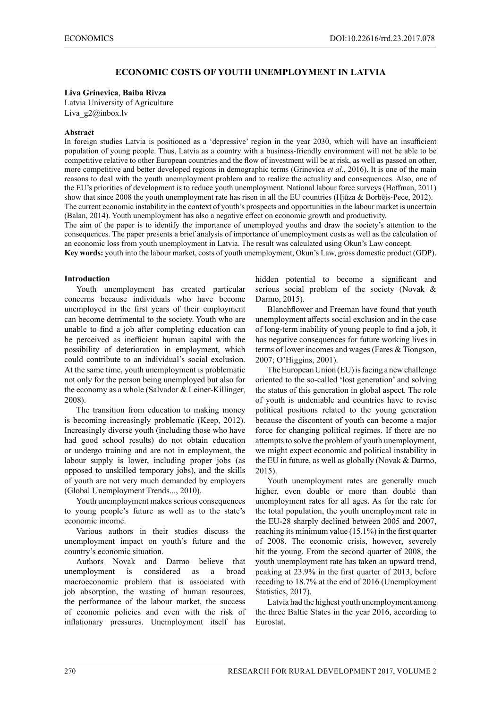# **ECONOMIC COSTS OF YOUTH UNEMPLOYMENT IN LATVIA**

### **Liva Grinevica**, **Baiba Rivza**

Latvia University of Agriculture Liva g2@inbox.lv

### **Abstract**

In foreign studies Latvia is positioned as a 'depressive' region in the year 2030, which will have an insufficient population of young people. Thus, Latvia as a country with a business-friendly environment will not be able to be competitive relative to other European countries and the flow of investment will be at risk, as well as passed on other, more competitive and better developed regions in demographic terms (Grinevica *et al*., 2016). It is one of the main reasons to deal with the youth unemployment problem and to realize the actuality and consequences. Also, one of the EU's priorities of development is to reduce youth unemployment. National labour force surveys (Hoffman, 2011) show that since 2008 the youth unemployment rate has risen in all the EU countries (Hjūza & Borbējs-Pece, 2012). The current economic instability in the context of youth's prospects and opportunities in the labour market is uncertain (Balan, 2014). Youth unemployment has also a negative effect on economic growth and productivity.

The aim of the paper is to identify the importance of unemployed youths and draw the society's attention to the consequences. The paper presents a brief analysis of importance of unemployment costs as well as the calculation of an economic loss from youth unemployment in Latvia. The result was calculated using Okun's Law concept.

**Key words:** youth into the labour market, costs of youth unemployment, Okun's Law, gross domestic product (GDP).

### **Introduction**

Youth unemployment has created particular concerns because individuals who have become unemployed in the first years of their employment can become detrimental to the society. Youth who are unable to find a job after completing education can be perceived as inefficient human capital with the possibility of deterioration in employment, which could contribute to an individual's social exclusion. At the same time, youth unemployment is problematic not only for the person being unemployed but also for the economy as a whole (Salvador & Leiner-Killinger, 2008).

The transition from education to making money is becoming increasingly problematic (Keep, 2012). Increasingly diverse youth (including those who have had good school results) do not obtain education or undergo training and are not in employment, the labour supply is lower, including proper jobs (as opposed to unskilled temporary jobs), and the skills of youth are not very much demanded by employers (Global Unemployment Trends..., 2010).

Youth unemployment makes serious consequences to young people's future as well as to the state's economic income.

Various authors in their studies discuss the unemployment impact on youth's future and the country's economic situation.

Authors Novak and Darmo believe that unemployment is considered as a broad macroeconomic problem that is associated with job absorption, the wasting of human resources, the performance of the labour market, the success of economic policies and even with the risk of inflationary pressures. Unemployment itself has

hidden potential to become a significant and serious social problem of the society (Novak & Darmo, 2015).

Blanchflower and Freeman have found that youth unemployment affects social exclusion and in the case of long-term inability of young people to find a job, it has negative consequences for future working lives in terms of lower incomes and wages (Fares & Tiongson, 2007; O'Higgins, 2001).

The European Union (EU) is facing a new challenge oriented to the so-called 'lost generation' and solving the status of this generation in global aspect. The role of youth is undeniable and countries have to revise political positions related to the young generation because the discontent of youth can become a major force for changing political regimes. If there are no attempts to solve the problem of youth unemployment, we might expect economic and political instability in the EU in future, as well as globally (Novak & Darmo, 2015).

Youth unemployment rates are generally much higher, even double or more than double than unemployment rates for all ages. As for the rate for the total population, the youth unemployment rate in the EU-28 sharply declined between 2005 and 2007, reaching its minimum value (15.1%) in the first quarter of 2008. The economic crisis, however, severely hit the young. From the second quarter of 2008, the youth unemployment rate has taken an upward trend, peaking at 23.9% in the first quarter of 2013, before receding to 18.7% at the end of 2016 (Unemployment Statistics, 2017).

Latvia had the highest youth unemployment among the three Baltic States in the year 2016, according to Eurostat.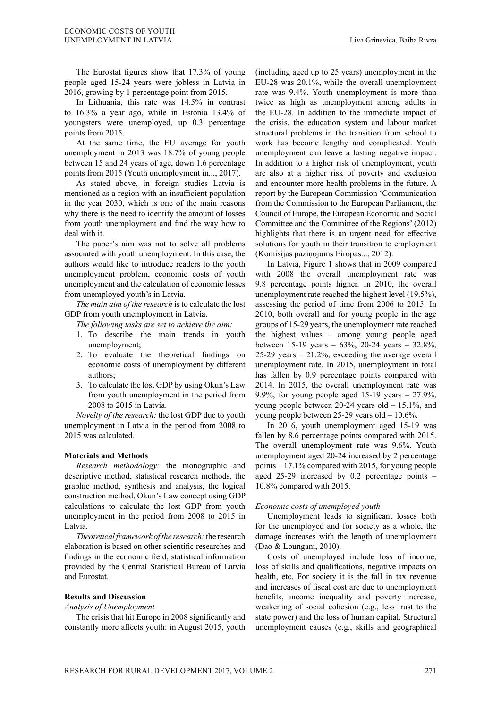The Eurostat figures show that 17.3% of young people aged 15-24 years were jobless in Latvia in 2016, growing by 1 percentage point from 2015.

In Lithuania, this rate was 14.5% in contrast to 16.3% a year ago, while in Estonia 13.4% of youngsters were unemployed, up 0.3 percentage points from 2015.

At the same time, the EU average for youth unemployment in 2013 was 18.7% of young people between 15 and 24 years of age, down 1.6 percentage points from 2015 (Youth unemployment in..., 2017).

As stated above, in foreign studies Latvia is mentioned as a region with an insufficient population in the year 2030, which is one of the main reasons why there is the need to identify the amount of losses from youth unemployment and find the way how to deal with it.

The paper's aim was not to solve all problems associated with youth unemployment. In this case, the authors would like to introduce readers to the youth unemployment problem, economic costs of youth unemployment and the calculation of economic losses from unemployed youth's in Latvia.

*The main aim of the research* is to calculate the lost GDP from youth unemployment in Latvia.

*The following tasks are set to achieve the aim:*

- 1. To describe the main trends in youth unemployment;
- 2. To evaluate the theoretical findings on economic costs of unemployment by different authors;
- 3. To calculate the lost GDP by using Okun's Law from youth unemployment in the period from 2008 to 2015 in Latvia.

*Novelty of the research:* the lost GDP due to youth unemployment in Latvia in the period from 2008 to 2015 was calculated.

### **Materials and Methods**

*Research methodology:* the monographic and descriptive method, statistical research methods, the graphic method, synthesis and analysis, the logical construction method, Okun's Law concept using GDP calculations to calculate the lost GDP from youth unemployment in the period from 2008 to 2015 in Latvia.

*Theoretical framework of the research:* the research elaboration is based on other scientific researches and findings in the economic field, statistical information provided by the Central Statistical Bureau of Latvia and Eurostat.

#### **Results and Discussion**

#### *Analysis of Unemployment*

The crisis that hit Europe in 2008 significantly and constantly more affects youth: in August 2015, youth (including aged up to 25 years) unemployment in the EU-28 was 20.1%, while the overall unemployment rate was 9.4%. Youth unemployment is more than twice as high as unemployment among adults in the EU-28. In addition to the immediate impact of the crisis, the education system and labour market structural problems in the transition from school to work has become lengthy and complicated. Youth unemployment can leave a lasting negative impact. In addition to a higher risk of unemployment, youth are also at a higher risk of poverty and exclusion and encounter more health problems in the future. A report by the European Commission 'Communication from the Commission to the European Parliament, the Council of Europe, the European Economic and Social Committee and the Committee of the Regions' (2012) highlights that there is an urgent need for effective solutions for youth in their transition to employment (Komisijas paziņojums Eiropas..., 2012).

In Latvia, Figure 1 shows that in 2009 compared with 2008 the overall unemployment rate was 9.8 percentage points higher. In 2010, the overall unemployment rate reached the highest level (19.5%), assessing the period of time from 2006 to 2015. In 2010, both overall and for young people in the age groups of 15-29 years, the unemployment rate reached the highest values – among young people aged between 15-19 years – 63%, 20-24 years – 32.8%, 25-29 years – 21.2%, exceeding the average overall unemployment rate. In 2015, unemployment in total has fallen by 0.9 percentage points compared with 2014. In 2015, the overall unemployment rate was 9.9%, for young people aged 15-19 years  $-27.9\%$ , young people between 20-24 years old – 15.1%, and young people between 25-29 years old – 10.6%.

In 2016, youth unemployment aged 15-19 was fallen by 8.6 percentage points compared with 2015. The overall unemployment rate was 9.6%. Youth unemployment aged 20-24 increased by 2 percentage points – 17.1% compared with 2015, for young people aged 25-29 increased by 0.2 percentage points – 10.8% compared with 2015.

### *Economic costs of unemployed youth*

Unemployment leads to significant losses both for the unemployed and for society as a whole, the damage increases with the length of unemployment (Dao & Loungani, 2010).

Costs of unemployed include loss of income, loss of skills and qualifications, negative impacts on health, etc. For society it is the fall in tax revenue and increases of fiscal cost are due to unemployment benefits, income inequality and poverty increase, weakening of social cohesion (e.g., less trust to the state power) and the loss of human capital. Structural unemployment causes (e.g., skills and geographical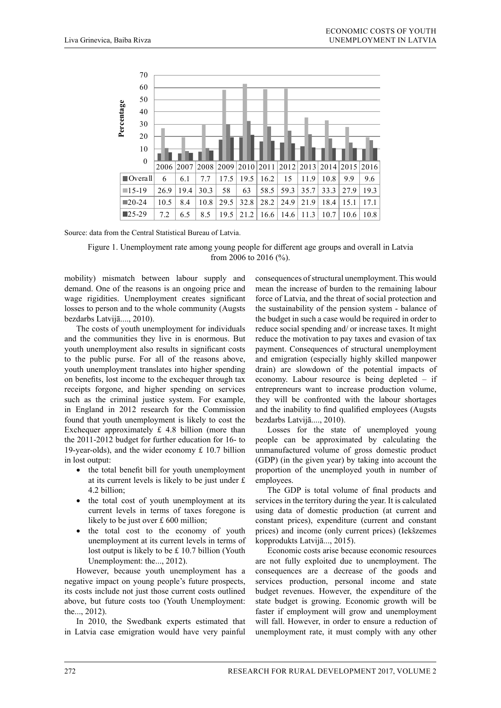

Source: data from the Central Statistical Bureau of Latvia.

Figure 1. Unemployment rate among young people for different age groups and overall in Latvia from 2006 to 2016 (%).

mobility) mismatch between labour supply and demand. One of the reasons is an ongoing price and wage rigidities. Unemployment creates significant losses to person and to the whole community (Augsts bezdarbs Latvijā...., 2010).

The costs of youth unemployment for individuals and the communities they live in is enormous. But youth unemployment also results in significant costs to the public purse. For all of the reasons above, youth unemployment translates into higher spending on benefits, lost income to the exchequer through tax receipts forgone, and higher spending on services such as the criminal justice system. For example, in England in 2012 research for the Commission found that youth unemployment is likely to cost the Exchequer approximately  $\pounds$  4.8 billion (more than the 2011-2012 budget for further education for 16- to 19-year-olds), and the wider economy  $£ 10.7$  billion in lost output:

- the total benefit bill for youth unemployment at its current levels is likely to be just under £ 4.2 billion;
- the total cost of youth unemployment at its current levels in terms of taxes foregone is likely to be just over £ 600 million;
- the total cost to the economy of youth unemployment at its current levels in terms of lost output is likely to be £ 10.7 billion (Youth Unemployment: the..., 2012).

However, because youth unemployment has a negative impact on young people's future prospects, its costs include not just those current costs outlined above, but future costs too (Youth Unemployment: the..., 2012).

In 2010, the Swedbank experts estimated that in Latvia case emigration would have very painful

consequences of structural unemployment. This would mean the increase of burden to the remaining labour force of Latvia, and the threat of social protection and the sustainability of the pension system - balance of the budget in such a case would be required in order to reduce social spending and/ or increase taxes. It might reduce the motivation to pay taxes and evasion of tax payment. Consequences of structural unemployment and emigration (especially highly skilled manpower drain) are slowdown of the potential impacts of economy. Labour resource is being depleted – if entrepreneurs want to increase production volume, they will be confronted with the labour shortages and the inability to find qualified employees (Augsts bezdarbs Latvijā...., 2010).

Losses for the state of unemployed young people can be approximated by calculating the unmanufactured volume of gross domestic product (GDP) (in the given year) by taking into account the proportion of the unemployed youth in number of employees.

The GDP is total volume of final products and services in the territory during the year. It is calculated using data of domestic production (at current and constant prices), expenditure (current and constant prices) and income (only current prices) (Iekšzemes kopprodukts Latvijā..., 2015).

Economic costs arise because economic resources are not fully exploited due to unemployment. The consequences are a decrease of the goods and services production, personal income and state budget revenues. However, the expenditure of the state budget is growing. Economic growth will be faster if employment will grow and unemployment will fall. However, in order to ensure a reduction of unemployment rate, it must comply with any other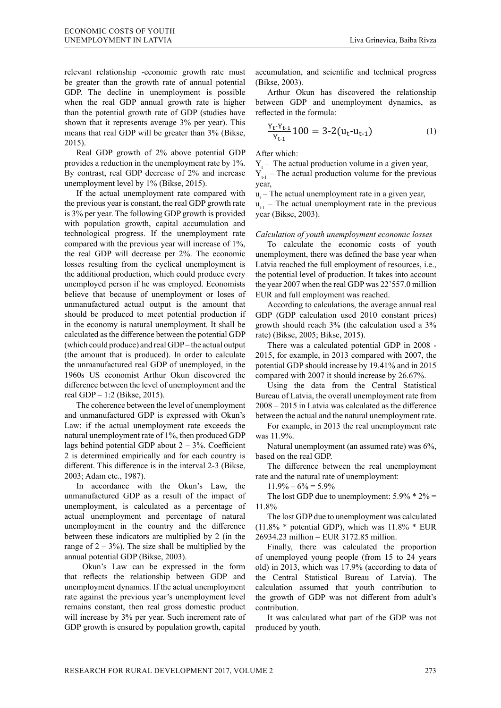relevant relationship -economic growth rate must be greater than the growth rate of annual potential GDP. The decline in unemployment is possible when the real GDP annual growth rate is higher than the potential growth rate of GDP (studies have shown that it represents average 3% per year). This means that real GDP will be greater than 3% (Bikse,  $2015$ ).  $\mathcal{L}_{\mathcal{A}}$  in order to ensure to ensure to ensure to ensure to ensure to ensure to ensure to ensure relevant relationship -economic growth rate mu

Real GDP growth of 2% above potential GDP provides a reduction in the unemployment rate by 1%. By contrast, real GDP decrease of 2% and increase unemployment level by 1% (Bikse, 2015).

If the actual unemployment rate compared with the previous year is constant, the real GDP growth rate is 3% per year. The following GDP growth is provided with population growth, capital accumulation and technological progress. If the unemployment rate compared with the previous year will increase of 1%, the real GDP will decrease per  $2%$ . The economic losses resulting from the cyclical unemployment is the additional production, which could produce every unemployed person if he was employed. Economists believe that because of unemployment or loses of unmanufactured actual output is the amount that should be produced to meet potential production if in the economy is natural unemployment. It shall be calculated as the difference between the potential GDP (which could produce) and real GDP – the actual output (the amount that is produced). In order to calculate the unmanufactured real GDP of unemployed, in the 1960s US economist Arthur Okun discovered the difference between the level of unemployment and the real GDP –  $1:2$  (Bikse, 2015).  $\mu$  and additional production, which could produce even

The coherence between the level of unemployment and unmanufactured GDP is expressed with Okun's Law: if the actual unemployment rate exceeds the natural unemployment rate of 1%, then produced GDP lags behind potential GDP about  $2 - 3$ %. Coefficient  $2 \overline{\phantom{a}}$  is determined empirically and for each country is different. This difference is in the interval  $2-3$  (Bikse, 2003; Adam etc., 1987).

 $\sum_{i=1}^{\infty}$  In accordance with the Okun's Law, the unmanufactured GDP as a result of the impact of unemployment, is calculated as a percentage of actual unemployment and percentage of natural unemployment in the country and the difference between these indicators are multiplied by 2 (in the range of  $2 - 3\%$ ). The size shall be multiplied by the annual potential GDP (Bikse, 2003).

Okun's Law can be expressed in the form that reflects the relationship between GDP and unemployment dynamics. If the actual unemployment rate against the previous year's unemployment level remains constant, then real gross domestic product will increase by 3% per year. Such increment rate of GDP growth is ensured by population growth, capital

accumulation, and scientific and technical progress (Bikse, 2003). population growth, capital accumulation, and umulation, and scientific and technical progr  $003$ ).

Arthur Okun has discovered the relationship between GDP and unemployment dynamics, as reflected in the formula: Arthur Okun has discovered the relationship

$$
\frac{Y_{t}Y_{t-1}}{Y_{t-1}}100 = 3-2(u_t - u_{t-1})
$$
 (1)

After which: After which:

 $Y_t$  – The actual production volume in a given year,  $Y_{t-1}$  – The actual production volume for the previous  $r,$ year,

 $u_t$  – The actual unemployment rate in a given year,  $u_{t-1}$  – The actual unemployment rate in the previous  $year$  (Bikse, 2003).

### *Calculation of youth unemployment economic losses*

To calculate the economic costs of youth unemployment, there was defined the base year when Latvia reached the full employment of resources, i.e., the potential level of production. It takes into account the year 2007 when the real GDP was 22'557.0 million EUR and full employment was reached.

According to calculations, the average annual real reached. GDP (GDP calculation used 2010 constant prices)  $\mu$  calculation used  $2010$  constant prices, growth should reach  $3\%$  (the calculation used a  $3\%$ <br>growth  $\Omega$ ilate  $2005$ ;  $\Omega$ ilate  $2015$ )  $p(\text{phase}, 2003, \text{phase}, 2013).$ rate) (Bikse, 2005; Bikse, 2015).

There was a calculated potential GDP in  $2008 - 76.6$ 2015, for example, in 2013 compared with 2007, the potential GDP should increase by 19.41% and in 2015 compared with 2007 it should increase by 26.67%.

Using the data from the Central Statistical 26.67%. Bureau of Latvia, the overall unemployment rate from  $2008 - 2015$  in Latvia was calculated as the difference between the actual and the natural unemployment rate.

For example, in 2013 the real unemployment rate was  $11.9\%$ .

Natural unemployment (an assumed rate) was 6%, based on the real GDP.

The difference between the real unemployment rate and the natural rate of unemployment:

 $11.9\% - 6\% = 5.9\%$ 

The lost GDP due to unemployment:  $5.9\% * 2\% =$ 11.8%

The lost GDP due to unemployment was calculated (11.8% \* potential GDP), which was 11.8% \* EUR 26934.23 million = EUR 3172.85 million.

Finally, there was calculated the proportion of unemployed young people (from 15 to 24 years old) in 2013, which was 17.9% (according to data of the Central Statistical Bureau of Latvia). The calculation assumed that youth contribution to the growth of GDP was not different from adult's contribution.

It was calculated what part of the GDP was not produced by youth.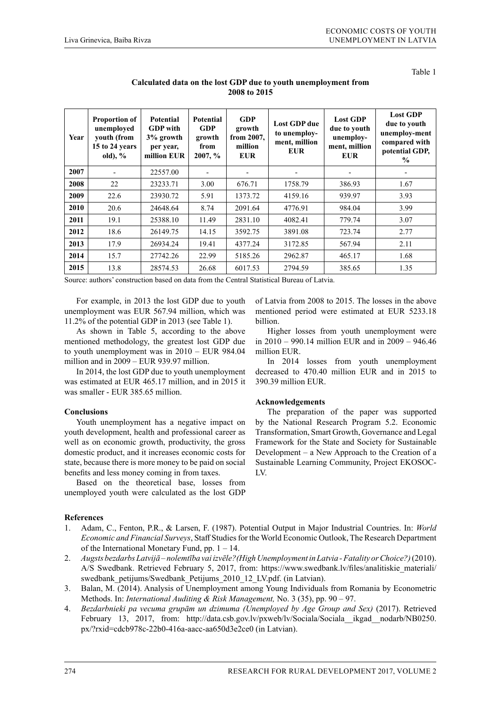Table 1

| Year | <b>Proportion of</b><br>unemployed<br>youth (from<br>15 to 24 years<br>old), $%$ | <b>Potential</b><br><b>GDP</b> with<br>3% growth<br>per year,<br>million EUR | <b>Potential</b><br><b>GDP</b><br>growth<br>from<br>$2007, \%$ | <b>GDP</b><br>growth<br>from 2007,<br>million<br><b>EUR</b> | <b>Lost GDP</b> due<br>to unemploy-<br>ment, million<br><b>EUR</b> | <b>Lost GDP</b><br>due to youth<br>unemploy-<br>ment, million<br><b>EUR</b> | <b>Lost GDP</b><br>due to youth<br>unemploy-ment<br>compared with<br>potential GDP,<br>$\frac{0}{0}$ |
|------|----------------------------------------------------------------------------------|------------------------------------------------------------------------------|----------------------------------------------------------------|-------------------------------------------------------------|--------------------------------------------------------------------|-----------------------------------------------------------------------------|------------------------------------------------------------------------------------------------------|
| 2007 |                                                                                  | 22557.00                                                                     |                                                                |                                                             |                                                                    |                                                                             |                                                                                                      |
| 2008 | 22                                                                               | 23233.71                                                                     | 3.00                                                           | 676.71                                                      | 1758.79                                                            | 386.93                                                                      | 1.67                                                                                                 |
| 2009 | 22.6                                                                             | 23930.72                                                                     | 5.91                                                           | 1373.72                                                     | 4159.16                                                            | 939.97                                                                      | 3.93                                                                                                 |
| 2010 | 20.6                                                                             | 24648.64                                                                     | 8.74                                                           | 2091.64                                                     | 4776.91                                                            | 984.04                                                                      | 3.99                                                                                                 |
| 2011 | 19.1                                                                             | 25388.10                                                                     | 11.49                                                          | 2831.10                                                     | 4082.41                                                            | 779.74                                                                      | 3.07                                                                                                 |
| 2012 | 18.6                                                                             | 26149.75                                                                     | 14.15                                                          | 3592.75                                                     | 3891.08                                                            | 723.74                                                                      | 2.77                                                                                                 |
| 2013 | 17.9                                                                             | 26934.24                                                                     | 19.41                                                          | 4377.24                                                     | 3172.85                                                            | 567.94                                                                      | 2.11                                                                                                 |
| 2014 | 15.7                                                                             | 27742.26                                                                     | 22.99                                                          | 5185.26                                                     | 2962.87                                                            | 465.17                                                                      | 1.68                                                                                                 |
| 2015 | 13.8                                                                             | 28574.53                                                                     | 26.68                                                          | 6017.53                                                     | 2794.59                                                            | 385.65                                                                      | 1.35                                                                                                 |

## **Calculated data on the lost GDP due to youth unemployment from 2008 to 2015**

Source: authors' construction based on data from the Central Statistical Bureau of Latvia.

For example, in 2013 the lost GDP due to youth unemployment was EUR 567.94 million, which was 11.2% of the potential GDP in 2013 (see Table 1).

As shown in Table 5, according to the above mentioned methodology, the greatest lost GDP due to youth unemployment was in 2010 – EUR 984.04 million and in 2009 – EUR 939.97 million.

In 2014, the lost GDP due to youth unemployment was estimated at EUR 465.17 million, and in 2015 it was smaller - EUR 385.65 million.

# **Conclusions**

Youth unemployment has a negative impact on youth development, health and professional career as well as on economic growth, productivity, the gross domestic product, and it increases economic costs for state, because there is more money to be paid on social benefits and less money coming in from taxes.

Based on the theoretical base, losses from unemployed youth were calculated as the lost GDP

# **References**

- 1. Adam, C., Fenton, P.R., & Larsen, F. (1987). Potential Output in Major Industrial Countries. In: *World Economic and Financial Surveys*, Staff Studies for the World Economic Outlook, The Research Department of the International Monetary Fund, pp. 1 – 14.
- 2. *Augsts bezdarbs Latvijā nolemtība vai izvēle?(High Unemployment in Latvia Fatality or Choice?)*(2010). A/S Swedbank. Retrieved February 5, 2017, from: https://www.swedbank.lv/files/analitiskie\_materiali/ swedbank petijums/Swedbank Petijums 2010 12 LV.pdf. (in Latvian).
- 3. Balan, M. (2014). Analysis of Unemployment among Young Individuals from Romania by Econometric Methods. In: *International Auditing & Risk Management,* No. 3 (35), pp. 90 – 97.
- 4. *Bezdarbnieki pa vecuma grupām un dzimuma (Unemployed by Age Group and Sex)* (2017). Retrieved February 13, 2017, from: http://data.csb.gov.lv/pxweb/lv/Sociala/Sociala\_ikgad\_nodarb/NB0250. px/?rxid=cdcb978c-22b0-416a-aacc-aa650d3e2ce0 (in Latvian).

of Latvia from 2008 to 2015. The losses in the above mentioned period were estimated at EUR 5233.18 billion.

Higher losses from youth unemployment were in 2010 – 990.14 million EUR and in 2009 – 946.46 million EUR.

In 2014 losses from youth unemployment decreased to 470.40 million EUR and in 2015 to 390.39 million EUR.

# **Acknowledgements**

The preparation of the paper was supported by the National Research Program 5.2. Economic Transformation, Smart Growth, Governance and Legal Framework for the State and Society for Sustainable Development – a New Approach to the Creation of a Sustainable Learning Community, Project EKOSOC-LV.